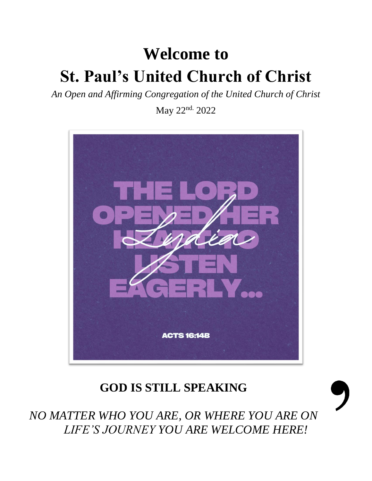# **Welcome to St. Paul's United Church of Christ**

*An Open and Affirming Congregation of the United Church of Christ*

May 22nd. 2022



# **GOD IS STILL SPEAKING**



*NO MATTER WHO YOU ARE, OR WHERE YOU ARE ON LIFE'S JOURNEY YOU ARE WELCOME HERE!*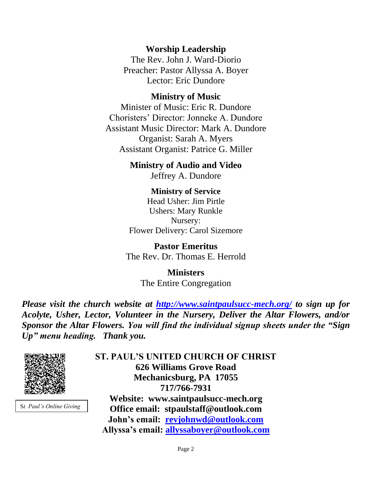**Worship Leadership**

The Rev. John J. Ward-Diorio Preacher: Pastor Allyssa A. Boyer Lector: Eric Dundore

#### **Ministry of Music**

Minister of Music: Eric R. Dundore Choristers' Director: Jonneke A. Dundore Assistant Music Director: Mark A. Dundore Organist: Sarah A. Myers Assistant Organist: Patrice G. Miller

> **Ministry of Audio and Video**  Jeffrey A. Dundore

**Ministry of Service** Head Usher: Jim Pirtle Ushers: Mary Runkle Nursery: Flower Delivery: Carol Sizemore

**Pastor Emeritus** The Rev. Dr. Thomas E. Herrold

> **Ministers** The Entire Congregation

*Please visit the church website at <http://www.saintpaulsucc-mech.org/> to sign up for Acolyte, Usher, Lector, Volunteer in the Nursery, Deliver the Altar Flowers, and/or Sponsor the Altar Flowers. You will find the individual signup sheets under the "Sign Up" menu heading. Thank you.*



S*t. Paul's Online Giving*

**ST. PAUL'S UNITED CHURCH OF CHRIST 626 Williams Grove Road Mechanicsburg, PA 17055 717/766-7931 Website: www.saintpaulsucc-mech.org Office email: stpaulstaff@outlook.com John's email: [revjohnwd@outlook.com](mailto:revjohnwd@outlook.com) Allyssa's email: [allyssaboyer@outlook.com](mailto:allyssaboyer@outlook.com)**

Page 2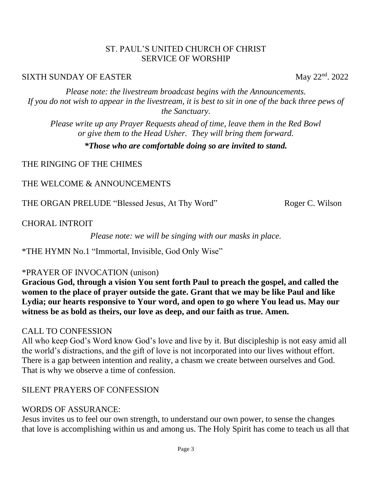#### ST. PAUL'S UNITED CHURCH OF CHRIST SERVICE OF WORSHIP

#### SIXTH SUNDAY OF EASTER May 22<sup>nd</sup>. 2022

*Please note: the livestream broadcast begins with the Announcements. If you do not wish to appear in the livestream, it is best to sit in one of the back three pews of the Sanctuary.*

*Please write up any Prayer Requests ahead of time, leave them in the Red Bowl or give them to the Head Usher. They will bring them forward.*

#### *\*Those who are comfortable doing so are invited to stand.*

#### THE RINGING OF THE CHIMES

#### THE WELCOME & ANNOUNCEMENTS

THE ORGAN PRELUDE "Blessed Jesus, At Thy Word" Roger C. Wilson

CHORAL INTROIT

*Please note: we will be singing with our masks in place.*

\*THE HYMN No.1 "Immortal, Invisible, God Only Wise"

### \*PRAYER OF INVOCATION (unison)

**Gracious God, through a vision You sent forth Paul to preach the gospel, and called the women to the place of prayer outside the gate. Grant that we may be like Paul and like Lydia; our hearts responsive to Your word, and open to go where You lead us. May our witness be as bold as theirs, our love as deep, and our faith as true. Amen.**

### CALL TO CONFESSION

All who keep God's Word know God's love and live by it. But discipleship is not easy amid all the world's distractions, and the gift of love is not incorporated into our lives without effort. There is a gap between intention and reality, a chasm we create between ourselves and God. That is why we observe a time of confession.

### SILENT PRAYERS OF CONFESSION

### WORDS OF ASSURANCE:

Jesus invites us to feel our own strength, to understand our own power, to sense the changes that love is accomplishing within us and among us. The Holy Spirit has come to teach us all that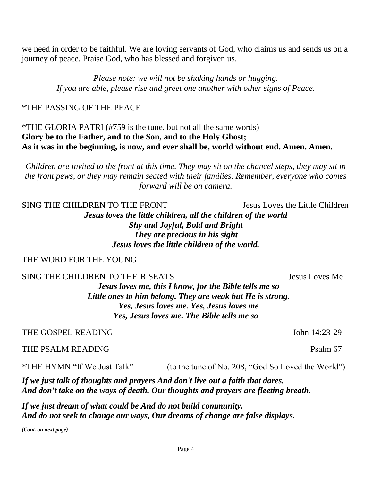we need in order to be faithful. We are loving servants of God, who claims us and sends us on a journey of peace. Praise God, who has blessed and forgiven us.

> *Please note: we will not be shaking hands or hugging. If you are able, please rise and greet one another with other signs of Peace.*

#### \*THE PASSING OF THE PEACE

#### \*THE GLORIA PATRI (#759 is the tune, but not all the same words) **Glory be to the Father, and to the Son, and to the Holy Ghost; As it was in the beginning, is now, and ever shall be, world without end. Amen. Amen.**

*Children are invited to the front at this time. They may sit on the chancel steps, they may sit in the front pews, or they may remain seated with their families. Remember, everyone who comes forward will be on camera.* 

SING THE CHILDREN TO THE FRONT Jesus Loves the Little Children *Jesus loves the little children, all the children of the world Shy and Joyful, Bold and Bright They are precious in his sight Jesus loves the little children of the world.*

#### THE WORD FOR THE YOUNG

SING THE CHILDREN TO THEIR SEATS SEATS SEARCHER SEATS

*Jesus loves me, this I know, for the Bible tells me so Little ones to him belong. They are weak but He is strong. Yes, Jesus loves me. Yes, Jesus loves me Yes, Jesus loves me. The Bible tells me so*

#### THE GOSPEL READING John 14:23-29

#### THE PSALM READING Painting and the property of the Psalm 67

\*THE HYMN "If We Just Talk" (to the tune of No. 208, "God So Loved the World")

*If we just talk of thoughts and prayers And don't live out a faith that dares, And don't take on the ways of death, Our thoughts and prayers are fleeting breath.*

*If we just dream of what could be And do not build community, And do not seek to change our ways, Our dreams of change are false displays.*

*(Cont. on next page)*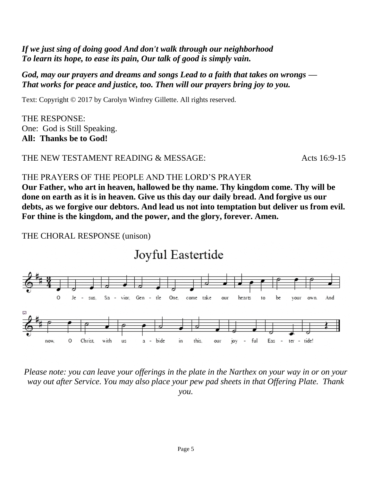### *If we just sing of doing good And don't walk through our neighborhood To learn its hope, to ease its pain, Our talk of good is simply vain.*

#### *God, may our prayers and dreams and songs Lead to a faith that takes on wrongs — That works for peace and justice, too. Then will our prayers bring joy to you.*

Text: Copyright © 2017 by Carolyn Winfrey Gillette. All rights reserved.

THE RESPONSE: One: God is Still Speaking. **All: Thanks be to God!** 

#### THE NEW TESTAMENT READING & MESSAGE:  $Acts 16:9-15$

#### THE PRAYERS OF THE PEOPLE AND THE LORD'S PRAYER

**Our Father, who art in heaven, hallowed be thy name. Thy kingdom come. Thy will be done on earth as it is in heaven. Give us this day our daily bread. And forgive us our debts, as we forgive our debtors. And lead us not into temptation but deliver us from evil. For thine is the kingdom, and the power, and the glory, forever. Amen.**

THE CHORAL RESPONSE (unison)

# Joyful Eastertide



*Please note: you can leave your offerings in the plate in the Narthex on your way in or on your way out after Service. You may also place your pew pad sheets in that Offering Plate. Thank you.*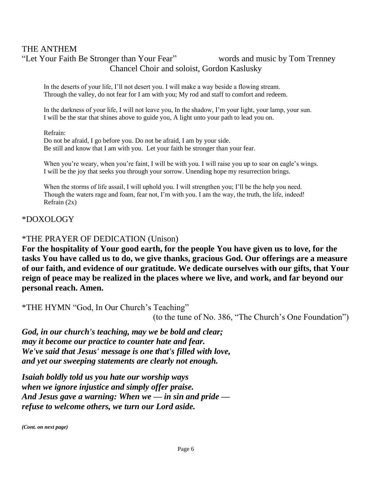#### THE ANTHEM "Let Your Faith Be Stronger than Your Fear" words and music by Tom Trenney Chancel Choir and soloist, Gordon Kaslusky

In the deserts of your life, I'll not desert you. I will make a way beside a flowing stream. Through the valley, do not fear for I am with you; My rod and staff to comfort and redeem.

In the darkness of your life, I will not leave you, In the shadow, I'm your light, your lamp, your sun. I will be the star that shines above to guide you, A light unto your path to lead you on.

#### Refrain:

Do not be afraid, I go before you. Do not be afraid, I am by your side. Be still and know that I am with you. Let your faith be stronger than your fear.

When you're weary, when you're faint, I will be with you. I will raise you up to soar on eagle's wings. I will be the joy that seeks you through your sorrow. Unending hope my resurrection brings.

When the storms of life assail, I will uphold you. I will strengthen you; I'll be the help you need. Though the waters rage and foam, fear not, I'm with you. I am the way, the truth, the life, indeed! Refrain (2x)

#### \*DOXOLOGY

#### \*THE PRAYER OF DEDICATION (Unison)

**For the hospitality of Your good earth, for the people You have given us to love, for the tasks You have called us to do, we give thanks, gracious God. Our offerings are a measure of our faith, and evidence of our gratitude. We dedicate ourselves with our gifts, that Your reign of peace may be realized in the places where we live, and work, and far beyond our personal reach. Amen.**

\*THE HYMN "God, In Our Church's Teaching"

(to the tune of No. 386, "The Church's One Foundation")

*God, in our church's teaching, may we be bold and clear; may it become our practice to counter hate and fear. We've said that Jesus' message is one that's filled with love, and yet our sweeping statements are clearly not enough.*

*Isaiah boldly told us you hate our worship ways when we ignore injustice and simply offer praise. And Jesus gave a warning: When we — in sin and pride refuse to welcome others, we turn our Lord aside.*

*(Cont. on next page)*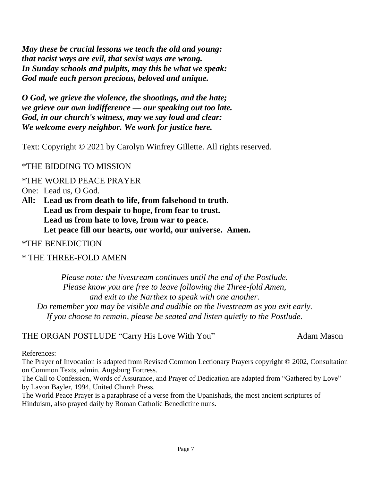*May these be crucial lessons we teach the old and young: that racist ways are evil, that sexist ways are wrong. In Sunday schools and pulpits, may this be what we speak: God made each person precious, beloved and unique.*

*O God, we grieve the violence, the shootings, and the hate; we grieve our own indifference — our speaking out too late. God, in our church's witness, may we say loud and clear: We welcome every neighbor. We work for justice here.*

Text: Copyright © 2021 by Carolyn Winfrey Gillette. All rights reserved.

#### \*THE BIDDING TO MISSION

\*THE WORLD PEACE PRAYER

One: Lead us, O God.

**All: Lead us from death to life, from falsehood to truth. Lead us from despair to hope, from fear to trust. Lead us from hate to love, from war to peace. Let peace fill our hearts, our world, our universe. Amen.**

\*THE BENEDICTION

#### \* THE THREE-FOLD AMEN

*Please note: the livestream continues until the end of the Postlude. Please know you are free to leave following the Three-fold Amen, and exit to the Narthex to speak with one another. Do remember you may be visible and audible on the livestream as you exit early. If you choose to remain, please be seated and listen quietly to the Postlude.*

THE ORGAN POSTLUDE "Carry His Love With You" Adam Mason

References:

The Prayer of Invocation is adapted from Revised Common Lectionary Prayers copyright © 2002, Consultation on Common Texts, admin. Augsburg Fortress.

The Call to Confession, Words of Assurance, and Prayer of Dedication are adapted from "Gathered by Love" by Lavon Bayler, 1994, United Church Press.

The World Peace Prayer is a paraphrase of a verse from the Upanishads, the most ancient scriptures of Hinduism, also prayed daily by Roman Catholic Benedictine nuns.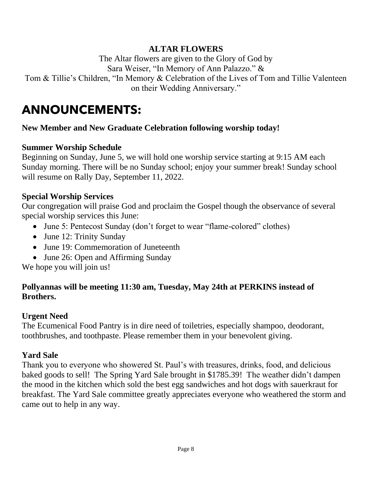### **ALTAR FLOWERS**

The Altar flowers are given to the Glory of God by Sara Weiser, "In Memory of Ann Palazzo." & Tom & Tillie's Children, "In Memory & Celebration of the Lives of Tom and Tillie Valenteen on their Wedding Anniversary."

# **ANNOUNCEMENTS:**

### **New Member and New Graduate Celebration following worship today!**

#### **Summer Worship Schedule**

Beginning on Sunday, June 5, we will hold one worship service starting at 9:15 AM each Sunday morning. There will be no Sunday school; enjoy your summer break! Sunday school will resume on Rally Day, September 11, 2022.

#### **Special Worship Services**

Our congregation will praise God and proclaim the Gospel though the observance of several special worship services this June:

- June 5: Pentecost Sunday (don't forget to wear "flame-colored" clothes)
- June 12: Trinity Sunday
- June 19: Commemoration of Juneteenth
- June 26: Open and Affirming Sunday

We hope you will join us!

### **Pollyannas will be meeting 11:30 am, Tuesday, May 24th at PERKINS instead of Brothers.**

#### **Urgent Need**

The Ecumenical Food Pantry is in dire need of toiletries, especially shampoo, deodorant, toothbrushes, and toothpaste. Please remember them in your benevolent giving.

#### **Yard Sale**

Thank you to everyone who showered St. Paul's with treasures, drinks, food, and delicious baked goods to sell! The Spring Yard Sale brought in \$1785.39! The weather didn't dampen the mood in the kitchen which sold the best egg sandwiches and hot dogs with sauerkraut for breakfast. The Yard Sale committee greatly appreciates everyone who weathered the storm and came out to help in any way.